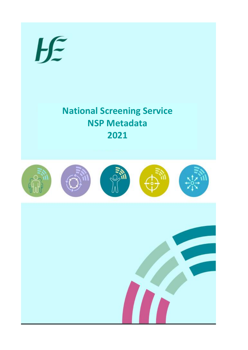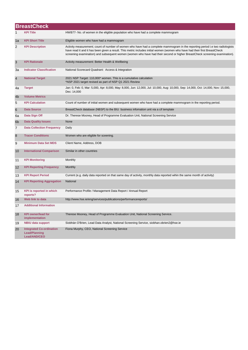|                | <b>BreastCheck</b>                                                      |                                                                                                                                                                                                                                                                                                                                                                                            |  |  |
|----------------|-------------------------------------------------------------------------|--------------------------------------------------------------------------------------------------------------------------------------------------------------------------------------------------------------------------------------------------------------------------------------------------------------------------------------------------------------------------------------------|--|--|
| 1              | <b>KPI Title</b>                                                        | HWB77- No. of women in the eligible population who have had a complete mammogram                                                                                                                                                                                                                                                                                                           |  |  |
| 1a             | <b>KPI Short Title</b>                                                  | Eligible women who have had a mammogram                                                                                                                                                                                                                                                                                                                                                    |  |  |
| 2              | <b>KPI Description</b>                                                  | Activity measurement; count of number of women who have had a complete mammogram in the reporting period i.e two radiologists<br>have read it and it has been given a result. This metric includes initial women (women who have had their first BreastCheck<br>screening examination) and subsequent women (women who have had their second or higher BreastCheck screening examination). |  |  |
| 3              | <b>KPI Rationale</b>                                                    | Activity measurement: Better Health & Wellbeing                                                                                                                                                                                                                                                                                                                                            |  |  |
| 3a             | <b>Indicator Classification</b>                                         | National Scorecard Quadrant: Access & Integration                                                                                                                                                                                                                                                                                                                                          |  |  |
| $\overline{4}$ | <b>National Target</b>                                                  | 2021 NSP Target: 110,000* women. This is a cumulative calculation<br>*NSP 2021 target revised as part of NSP Q1 2021 Review                                                                                                                                                                                                                                                                |  |  |
| 4a             | <b>Target</b>                                                           | Jan: 0, Feb: 0, Mar: 5,000, Apr: 8,000, May: 8,000, Jun: 12,000, Jul: 10,000, Aug: 10,000, Sep: 14,000, Oct: 14,000, Nov: 15,000,<br>Dec: 14,000                                                                                                                                                                                                                                           |  |  |
| 4 <sub>b</sub> | <b>Volume Metrics</b>                                                   |                                                                                                                                                                                                                                                                                                                                                                                            |  |  |
| 5              | <b>KPI Calculation</b>                                                  | Count of number of initial women and subsequent women who have had a complete mammogram in the reporting period.                                                                                                                                                                                                                                                                           |  |  |
| 6              | <b>Data Source</b>                                                      | BreastCheck database (NBSP) to the BIU business infomation unit via a cif template                                                                                                                                                                                                                                                                                                         |  |  |
| 6a             | Data Sign Off                                                           | Dr. Therese Mooney, Head of Programme Evaluation Unit, National Screening Service                                                                                                                                                                                                                                                                                                          |  |  |
| 6 <sub>b</sub> | <b>Data Quality Issues</b>                                              | None                                                                                                                                                                                                                                                                                                                                                                                       |  |  |
| 7              | <b>Data Collection Frequency</b>                                        | Daily                                                                                                                                                                                                                                                                                                                                                                                      |  |  |
| 8              | <b>Tracer Conditions</b>                                                | Women who are eligible for sceening.                                                                                                                                                                                                                                                                                                                                                       |  |  |
| 9              | <b>Minimum Data Set MDS</b>                                             | Client Name, Address, DOB                                                                                                                                                                                                                                                                                                                                                                  |  |  |
| 10             | <b>International Comparison</b>                                         | Similar in other countries                                                                                                                                                                                                                                                                                                                                                                 |  |  |
| 11             | <b>KPI Monitoring</b>                                                   | Monthly                                                                                                                                                                                                                                                                                                                                                                                    |  |  |
| 12             | <b>KPI Reporting Frequency</b>                                          | Monthly                                                                                                                                                                                                                                                                                                                                                                                    |  |  |
| 13             | <b>KPI Report Period</b>                                                | Current (e.g. daily data reported on that same day of activity, monthly data reported wihin the same month of activity)                                                                                                                                                                                                                                                                    |  |  |
| 14             | <b>KPI Reporting Aggregation</b>                                        | National                                                                                                                                                                                                                                                                                                                                                                                   |  |  |
| 15             | <b>KPI</b> is reported in which<br>reports?                             | Performance Profile / Management Data Report / Annual Report                                                                                                                                                                                                                                                                                                                               |  |  |
| 16             | Web link to data                                                        | http://www.hse.ie/eng/services/publications/performancereports/                                                                                                                                                                                                                                                                                                                            |  |  |
| 17             | <b>Additional Information</b>                                           |                                                                                                                                                                                                                                                                                                                                                                                            |  |  |
| 18             | <b>KPI</b> owner/lead for<br>implementation                             | Therese Mooney, Head of Programme Evaluation Unit, National Screening Service.                                                                                                                                                                                                                                                                                                             |  |  |
| 19             | <b>NBIU data support</b>                                                | Siobhán O'Brien, Lead Data Analyst, National Screening Service, siobhan.obrien2@hse.ie                                                                                                                                                                                                                                                                                                     |  |  |
| 20             | <b>Integrated Co-ordination</b><br><b>Lead/Planning</b><br>Lead/AND/CEO | Fiona Murphy, CEO, National Screening Service                                                                                                                                                                                                                                                                                                                                              |  |  |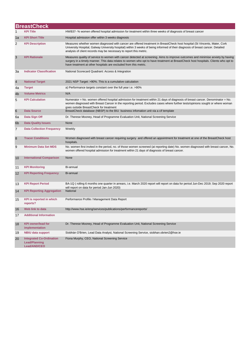|                | <b>BreastCheck</b>                                                      |                                                                                                                                                                                                                                                                                                                                           |  |  |
|----------------|-------------------------------------------------------------------------|-------------------------------------------------------------------------------------------------------------------------------------------------------------------------------------------------------------------------------------------------------------------------------------------------------------------------------------------|--|--|
|                | <b>KPI Title</b>                                                        | HWB37-% women offered hospital admission for treatment within three weeks of diagnosis of breast cancer                                                                                                                                                                                                                                   |  |  |
| 1a             | <b>KPI Short Title</b>                                                  | Hospital admission offer within 3 weeks diagnosis                                                                                                                                                                                                                                                                                         |  |  |
| 2              | <b>KPI Description</b>                                                  | Measures whether women diagnosed with cancer are offered treatment in BreastCheck host hospital (St Vincents, Mater, Cork<br>University Hospital, Galway University hospital) within 3 weeks of being informed of their diagnosis of breast cancer. Detailed<br>analysis of client records may be necessary to report this metric.        |  |  |
| 3              | <b>KPI Rationale</b>                                                    | Measures quality of service to women with cancer detected at screening. Aims to improve outcomes and minimise anxiety by having<br>surgery in a timely manner. This data relates to women who opt to have treatment at BreastCheck host hospitals. Clients who opt to<br>have treatment at other hospitals are excluded from this metric. |  |  |
| За             | <b>Indicator Classification</b>                                         | National Scorecard Quadrant: Access & Integration                                                                                                                                                                                                                                                                                         |  |  |
| $\overline{4}$ | <b>National Target</b>                                                  | 2021 NSP Target: >90%. This is a cumulative calculation                                                                                                                                                                                                                                                                                   |  |  |
| 4a             | <b>Target</b>                                                           | a) Performance targets constant over the full year i.e. >90%                                                                                                                                                                                                                                                                              |  |  |
| 4b             | <b>Volume Metrics</b>                                                   | N/A                                                                                                                                                                                                                                                                                                                                       |  |  |
| 5              | <b>KPI Calculation</b>                                                  | Numerator = No. women offered hospital admission for treatment within 21 days of diagnosis of breast cancer. Denominator = No.<br>women diagnosed with Breast Cancer in the reporting period. Excludes cases where further tests/opinions sought or where woman<br>goes outside BreastCheck for treatment                                 |  |  |
| 6              | <b>Data Source</b>                                                      | BreastCheck database (NBSP) to the BIU business infomation unit via a cif template                                                                                                                                                                                                                                                        |  |  |
| 6a             | Data Sign Off                                                           | Dr. Therese Mooney, Head of Programme Evaluation Unit, National Screening Service                                                                                                                                                                                                                                                         |  |  |
| 6 <sub>b</sub> | <b>Data Quality Issues</b>                                              | None                                                                                                                                                                                                                                                                                                                                      |  |  |
| 7              | <b>Data Collection Frequency</b>                                        | Weekly                                                                                                                                                                                                                                                                                                                                    |  |  |
| 8              | <b>Tracer Conditions</b>                                                | Women diagnosed with breast cancer requiring surgery and offered an appointment for treatment at one of the BreastCheck host<br>hospitals.                                                                                                                                                                                                |  |  |
| 9              | <b>Minimum Data Set MDS</b>                                             | No. women first invited in the period, no. of those women screened (at reporting date) No. women diagnosed with breast cancer, No.<br>women offered hospital admission for treatment within 21 days of diagnosis of breast cancer.                                                                                                        |  |  |
| 10             | <b>International Comparison</b>                                         | None                                                                                                                                                                                                                                                                                                                                      |  |  |
| 11             | <b>KPI Monitoring</b>                                                   | Bi-annual                                                                                                                                                                                                                                                                                                                                 |  |  |
| 12             | <b>KPI Reporting Frequency</b>                                          | Bi-annual                                                                                                                                                                                                                                                                                                                                 |  |  |
| 13             | <b>KPI Report Period</b>                                                | BA-1Q (rolling 6 months one quarter in arrears, i.e. March 2020 report will report on data for period Jun-Dec 2019; Sep 2020 report<br>will report on data for period Jan-Jun 2020)                                                                                                                                                       |  |  |
| 14             | <b>KPI Reporting Aggregation</b>                                        | National                                                                                                                                                                                                                                                                                                                                  |  |  |
| 15             | <b>KPI</b> is reported in which<br>reports?                             | Performance Profile / Management Data Report                                                                                                                                                                                                                                                                                              |  |  |
| 16             | Web link to data                                                        | http://www.hse.ie/eng/services/publications/performancereports/                                                                                                                                                                                                                                                                           |  |  |
| 17             | <b>Additional Information</b>                                           |                                                                                                                                                                                                                                                                                                                                           |  |  |
| 18             | <b>KPI owner/lead for</b><br>implementation                             | Dr. Therese Mooney, Head of Programme Evaluation Unit, National Screening Service                                                                                                                                                                                                                                                         |  |  |
| 19             | <b>NBIU data support</b>                                                | Siobhán O'Brien, Lead Data Analyst, National Screening Service, siobhan.obrien2@hse.ie                                                                                                                                                                                                                                                    |  |  |
| 20             | <b>Integrated Co-Ordination</b><br><b>Lead/Planning</b><br>Lead/AND/CEO | Fiona Murphy, CEO, National Screening Service                                                                                                                                                                                                                                                                                             |  |  |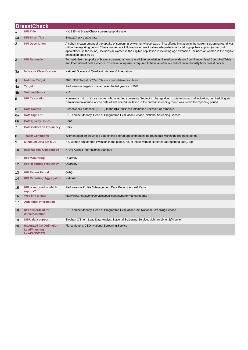|                 | <b>BreastCheck</b>                                                      |                                                                                                                                                                                                                                                                                                                                                                                                                                         |  |  |
|-----------------|-------------------------------------------------------------------------|-----------------------------------------------------------------------------------------------------------------------------------------------------------------------------------------------------------------------------------------------------------------------------------------------------------------------------------------------------------------------------------------------------------------------------------------|--|--|
| 1               | <b>KPI Title</b>                                                        | HWB35- % BreastCheck screening uptake rate                                                                                                                                                                                                                                                                                                                                                                                              |  |  |
| 1a              | <b>KPI Short Title</b>                                                  | BreastCheck uptake rate                                                                                                                                                                                                                                                                                                                                                                                                                 |  |  |
| $\overline{2}$  | <b>KPI Description</b>                                                  | A cohort measurement of the uptake of screening by women whose date of first offered invitation in the current screening round was<br>within the reporting period. These women are followed over time to allow adequate time for taking up their appoint (or second<br>appointment in the round). Includes all women in the eligible population ie including age extension. Includes all women in the eligible<br>population aged 50-69 |  |  |
| 3               | <b>KPI Rationale</b>                                                    | To maximise the uptake of breast screening among the eligible population. Based on evidence from Randomised Controlled Trials<br>and International best evidence. This level of uptake is required to have an effective reduction in mortality from breast cancer.                                                                                                                                                                      |  |  |
| За              | <b>Indicator Classification</b>                                         | National Scorecard Quadrant: Access & Integration                                                                                                                                                                                                                                                                                                                                                                                       |  |  |
| $\overline{4}$  | <b>National Target</b>                                                  | 2021 NSP Target: >70% . This is a cumulative calculation                                                                                                                                                                                                                                                                                                                                                                                |  |  |
| 4a              | <b>Target</b>                                                           | Performance targets constant over the full year i.e. >70%                                                                                                                                                                                                                                                                                                                                                                               |  |  |
| 4b              | <b>Volume Metrics</b>                                                   | N/A                                                                                                                                                                                                                                                                                                                                                                                                                                     |  |  |
| 5               | <b>KPI Calculation</b>                                                  | Numerator= No. of those women who attended screening. Subject to change due to uptake on second invitation, rescheduling etc.<br>Denimonator=women whose date of first offered invitation in the current screening round was within the reporting period.                                                                                                                                                                               |  |  |
| $6\phantom{1}6$ | <b>Data Source</b>                                                      | BreastCheck database (NBSP) to the BIU business infomation unit via a cif template                                                                                                                                                                                                                                                                                                                                                      |  |  |
| 6a              | Data Sign Off                                                           | Dr. Therese Mooney, Head of Programme Evaluation Service, National Screening Service                                                                                                                                                                                                                                                                                                                                                    |  |  |
| 6 <sub>b</sub>  | <b>Data Quality Issues</b>                                              | None                                                                                                                                                                                                                                                                                                                                                                                                                                    |  |  |
| $\overline{7}$  | <b>Data Collection Frequency</b>                                        | Daily                                                                                                                                                                                                                                                                                                                                                                                                                                   |  |  |
| 8               | <b>Tracer Conditions</b>                                                | Women aged 50-69 whose date of first offered appointment in the round falls within the reporting period                                                                                                                                                                                                                                                                                                                                 |  |  |
| 9               | <b>Minimum Data Set MDS</b>                                             | No. women first offered invitation in the period, no. of those women screened (at reporting date), age                                                                                                                                                                                                                                                                                                                                  |  |  |
| 10              | <b>International Comparison</b>                                         | >70% Agreed International Standard                                                                                                                                                                                                                                                                                                                                                                                                      |  |  |
| 11              | <b>KPI Monitoring</b>                                                   | Quarterly                                                                                                                                                                                                                                                                                                                                                                                                                               |  |  |
| 12              | <b>KPI Reporting Frequency</b>                                          | Quarterly                                                                                                                                                                                                                                                                                                                                                                                                                               |  |  |
| 13              | <b>KPI Report Period</b>                                                | $Q-1Q$                                                                                                                                                                                                                                                                                                                                                                                                                                  |  |  |
| 14              | <b>KPI Reporting Aggregation</b>                                        | National                                                                                                                                                                                                                                                                                                                                                                                                                                |  |  |
| 15              | <b>KPI</b> is reported in which<br>reports?                             | Performance Profile / Management Data Report / Annual Report                                                                                                                                                                                                                                                                                                                                                                            |  |  |
| 16              | Web link to data                                                        | http://www.hse.ie/eng/services/publications/performancereports/                                                                                                                                                                                                                                                                                                                                                                         |  |  |
| 17              | <b>Additional Information</b>                                           |                                                                                                                                                                                                                                                                                                                                                                                                                                         |  |  |
| 18              | <b>KPI</b> owner/lead for<br>implementation                             | Dr. Therese Mooney, Head of Programme Evaluation Unit, National Screening Service                                                                                                                                                                                                                                                                                                                                                       |  |  |
| 19              | <b>NBIU data support</b>                                                | Siobhán O'Brien, Lead Data Analyst, National Screening Service, siobhan.obrien2@hse.ie                                                                                                                                                                                                                                                                                                                                                  |  |  |
| 20              | <b>Integrated Co-Ordination</b><br><b>Lead/Planning</b><br>Lead/AND/CEO | Fiona Murphy, CEO, National Screening Service                                                                                                                                                                                                                                                                                                                                                                                           |  |  |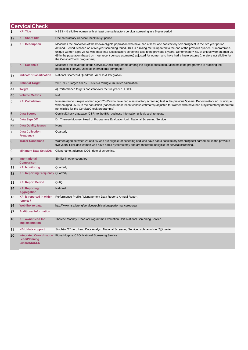|                 | <b>CervicalCheck</b>                                                    |                                                                                                                                                                                                                                                                                                                                                                                                                                                                                                                                                                                                            |
|-----------------|-------------------------------------------------------------------------|------------------------------------------------------------------------------------------------------------------------------------------------------------------------------------------------------------------------------------------------------------------------------------------------------------------------------------------------------------------------------------------------------------------------------------------------------------------------------------------------------------------------------------------------------------------------------------------------------------|
|                 | <b>KPI Title</b>                                                        | NSS3 - % eligible women with at least one satisfactory cervical screening in a 5-year period                                                                                                                                                                                                                                                                                                                                                                                                                                                                                                               |
| 1a              | <b>KPI Short Title</b>                                                  | One satisfactory CervicalCheck in 5yr period                                                                                                                                                                                                                                                                                                                                                                                                                                                                                                                                                               |
| $\overline{c}$  | <b>KPI Description</b>                                                  | Measures the proportion of the known eligible population who have had at least one satisfactory screening test in the five year period<br>defined. Period is based on a five-year screening round. This is a rolling metric updated to the end of the previous quarter. Numerator=no.<br>unique women aged 25-65 who have had a satisfactory screening test in the previous 5 years, Denominator= no. of unique women aged 25-<br>65 in the population (based on most recent census estimates) adjusted for women who have had a hysterectomy (therefore not eligible for<br>the CervicalCheck programme). |
| 3               | <b>KPI Rationale</b>                                                    | Measures the coverage of the CervicalCheck programme among the eligible population. Monitors if the programme is reaching the<br>population it serves. Used as International comparitor.                                                                                                                                                                                                                                                                                                                                                                                                                   |
| За              | <b>Indicator Classification</b>                                         | National Scorecard Quadrant : Access & Integration                                                                                                                                                                                                                                                                                                                                                                                                                                                                                                                                                         |
| $\overline{4}$  | <b>National Target</b>                                                  | 2021 NSP Target: >80%. This is a rolling cumulative calculation                                                                                                                                                                                                                                                                                                                                                                                                                                                                                                                                            |
| 4a              | <b>Target</b>                                                           | a) Performance targets constant over the full year i.e. >80%                                                                                                                                                                                                                                                                                                                                                                                                                                                                                                                                               |
| 4 <sub>b</sub>  | <b>Volume Metrics</b>                                                   | N/A                                                                                                                                                                                                                                                                                                                                                                                                                                                                                                                                                                                                        |
| 5               | <b>KPI Calculation</b>                                                  | Numerator=no. unique women aged 25-65 who have had a satisfactory screening test in the previous 5 years, Denominator= no. of unique<br>women aged 25-65 in the population (based on most recent census estimates) adjusted for women who have had a hysterectomy (therefore<br>not eligible for the CervicalCheck programme)                                                                                                                                                                                                                                                                              |
| $6\phantom{1}6$ | <b>Data Source</b>                                                      | CervicalCheck database (CSR) to the BIU business infomation unit via a cif template                                                                                                                                                                                                                                                                                                                                                                                                                                                                                                                        |
| 6a              | Data Sign Off                                                           | Dr. Therese Mooney, Head of Programme Evaluation Unit, National Screening Service                                                                                                                                                                                                                                                                                                                                                                                                                                                                                                                          |
| 6 <sub>b</sub>  | <b>Data Quality Issues</b>                                              | None                                                                                                                                                                                                                                                                                                                                                                                                                                                                                                                                                                                                       |
| 7               | <b>Data Collection</b><br><b>Frequency</b>                              | Quarterly                                                                                                                                                                                                                                                                                                                                                                                                                                                                                                                                                                                                  |
| 8               | <b>Tracer Conditions</b>                                                | Women aged between 25 and 65 who are eligible for sceening and who have had a satisfactory screening test carried out in the previous<br>five years. Excludes women who have had a hysterectomy and are therefore ineligible for cervical screening.                                                                                                                                                                                                                                                                                                                                                       |
| 9               | <b>Minimum Data Set MDS</b>                                             | Client name, address, DOB, date of screening.                                                                                                                                                                                                                                                                                                                                                                                                                                                                                                                                                              |
| 10              | International<br><b>Comparison</b>                                      | Similar in other countries                                                                                                                                                                                                                                                                                                                                                                                                                                                                                                                                                                                 |
| 11              | <b>KPI Monitoring</b>                                                   | Quarterly                                                                                                                                                                                                                                                                                                                                                                                                                                                                                                                                                                                                  |
| 12              | <b>KPI Reporting Frequency Quarterly</b>                                |                                                                                                                                                                                                                                                                                                                                                                                                                                                                                                                                                                                                            |
| 13              | <b>KPI Report Period</b>                                                | Q-1Q                                                                                                                                                                                                                                                                                                                                                                                                                                                                                                                                                                                                       |
| 14              | <b>KPI Reporting</b><br><b>Aggregation</b>                              | National                                                                                                                                                                                                                                                                                                                                                                                                                                                                                                                                                                                                   |
| 15              | <b>KPI</b> is reported in which<br>reports?                             | Performance Profile / Management Data Report / Annual Report                                                                                                                                                                                                                                                                                                                                                                                                                                                                                                                                               |
| 16              | Web link to data                                                        | http://www.hse.ie/eng/services/publications/performancereports/                                                                                                                                                                                                                                                                                                                                                                                                                                                                                                                                            |
| 17              | <b>Additional Information</b>                                           |                                                                                                                                                                                                                                                                                                                                                                                                                                                                                                                                                                                                            |
| 18              | <b>KPI owner/lead for</b><br>implementation                             | Therese Mooney, Head of Programme Evaluation Unit, National Screening Service.                                                                                                                                                                                                                                                                                                                                                                                                                                                                                                                             |
| 19              | <b>NBIU data support</b>                                                | Siobhán O'Brien, Lead Data Analyst, National Screening Service, siobhan.obrien2@hse.ie                                                                                                                                                                                                                                                                                                                                                                                                                                                                                                                     |
| 20              | <b>Integrated Co-ordination</b><br><b>Lead/Planning</b><br>Lead/AND/CEO | Fiona Murphy, CEO, National Screening Service                                                                                                                                                                                                                                                                                                                                                                                                                                                                                                                                                              |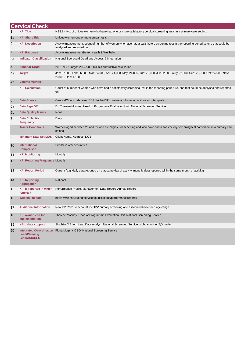|                | <b>CervicalCheck</b>                                             |                                                                                                                                                                      |
|----------------|------------------------------------------------------------------|----------------------------------------------------------------------------------------------------------------------------------------------------------------------|
|                | <b>KPI Title</b>                                                 | NSS2 - No. of unique women who have had one or more satisfactory cervical screening tests in a primary care setting.                                                 |
| 1a             | <b>KPI Short Title</b>                                           | Unique women one or more smear tests                                                                                                                                 |
| 2              | <b>KPI Description</b>                                           | Activity measurement; count of number of women who have had a satisfactory screening test in the reporting period i.e one that could be<br>analysed and reported on. |
| 3              | <b>KPI Rationale</b>                                             | Activity measurementBetter Health & Wellbeing                                                                                                                        |
| За             | <b>Indicator Classification</b>                                  | National Scorecard Quadrant: Access & Integration                                                                                                                    |
| $\overline{4}$ | <b>National Target</b>                                           | 2021 NSP Target: 280,000. This is a cumulative calculation                                                                                                           |
| 4a             | <b>Target</b>                                                    | Jan: 27,000, Feb: 26,000, Mar: 24,000, Apr: 24,000, May: 24,000, Jun: 22,000, Jul: 22,000, Aug: 22,000, Sep: 25,000, Oct: 24,000, Nov:<br>23,000, Dec: 17,000        |
| 4 <sub>b</sub> | <b>Volume Metrics</b>                                            |                                                                                                                                                                      |
| 5              | <b>KPI Calculation</b>                                           | Count of number of women who have had a satisfactory screening test in the reporting period i.e. one that could be analysed and reported<br>on.                      |
| 6              | <b>Data Source</b>                                               | CervicalCheck database (CSR) to the BIU business infomation unit via a cif template                                                                                  |
| 6а             | Data Sign Off                                                    | Dr. Therese Mooney, Head of Programme Evaluation Unit, National Screening Service                                                                                    |
| 6 <sub>b</sub> | <b>Data Quality Issues</b>                                       | None                                                                                                                                                                 |
| 7              | <b>Data Collection</b><br><b>Frequency</b>                       | Daily                                                                                                                                                                |
| 8              | <b>Tracer Conditions</b>                                         | Women aged between 25 and 65 who are eligible for sceening and who have had a satisfactory screening test carried out in a primary care<br>setting                   |
| 9              | <b>Minimum Data Set MDS</b>                                      | Client Name, Address, DOB                                                                                                                                            |
| 10             | International<br><b>Comparison</b>                               | Similar in other countries                                                                                                                                           |
| 11             | <b>KPI Monitoring</b>                                            | Monthly                                                                                                                                                              |
| 12             | <b>KPI Reporting Frequency Monthly</b>                           |                                                                                                                                                                      |
| 13             | <b>KPI Report Period</b>                                         | Current (e.g. daily data reported on that same day of activity, monthly data reported wihin the same month of activity)                                              |
| 14             | <b>KPI Reporting</b><br><b>Aggregation</b>                       | National                                                                                                                                                             |
| 15             | <b>KPI</b> is reported in which<br>reports?                      | Performance Profile, Management Data Report, Annual Report                                                                                                           |
| 16             | Web link to data                                                 | http://www.hse.ie/eng/services/publications/performancereports/                                                                                                      |
| 17             | <b>Additional Information</b>                                    | New KPI 2021 to account for HPV primary screening and associated extended age-range                                                                                  |
| 18             | <b>KPI owner/lead for</b><br>implementation                      | Therese Mooney, Head of Programme Evaluation Unit, National Screening Service.                                                                                       |
| 19             | <b>NBIU data support</b>                                         | Siobhán O'Brien, Lead Data Analyst, National Screening Service, siobhan.obrien2@hse.ie                                                                               |
| 20             | <b>Integrated Co-ordination</b><br>Lead/Planning<br>Lead/AND/CEO | Fiona Murphy, CEO, National Screening Service                                                                                                                        |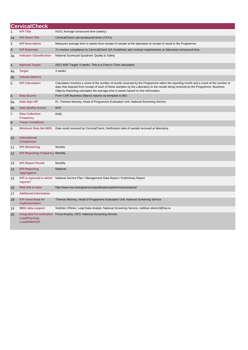|                | <b>CervicalCheck</b>                                                    |                                                                                                                                                                                                                                                                                                                                                                    |
|----------------|-------------------------------------------------------------------------|--------------------------------------------------------------------------------------------------------------------------------------------------------------------------------------------------------------------------------------------------------------------------------------------------------------------------------------------------------------------|
| 1              | <b>KPI Title</b>                                                        | NSS1 Average turnaround time (weeks)                                                                                                                                                                                                                                                                                                                               |
| 1a             | <b>KPI Short Title</b>                                                  | CervicalCheck Lab turnaround times (TATs)                                                                                                                                                                                                                                                                                                                          |
| 2              | <b>KPI Description</b>                                                  | Measures average time in weeks from receipt of sample at the laboratory to receipt of result to the Programme                                                                                                                                                                                                                                                      |
| 3              | <b>KPI Rationale</b>                                                    | To monitor compliance to CervicalCheck QA Guidelines and contract requirements on laboratory turnaround time.                                                                                                                                                                                                                                                      |
| За             | <b>Indicator Classification</b>                                         | National Scorecard Quadrant: Quality & Safety                                                                                                                                                                                                                                                                                                                      |
| $\overline{4}$ | <b>National Target</b>                                                  | 2021 NSP Target: 4 weeks. This is a Point in Time calculation                                                                                                                                                                                                                                                                                                      |
| 4a             | <b>Target</b>                                                           | 4 weeks                                                                                                                                                                                                                                                                                                                                                            |
| 4 <sub>b</sub> | <b>Volume Metrics</b>                                                   |                                                                                                                                                                                                                                                                                                                                                                    |
| 5              | <b>KPI Calculation</b>                                                  | Calculation involves a count of the number of results received by the Programme within the reporting month and a count of the number of<br>days that elapsed from receipt of each of these samples by the Laboratory to the results being received by the Programme. Business<br>Objects Reporting calculates the average time in weeks based on this information. |
| 6              | <b>Data Source</b>                                                      | From CSR Business Objects reports via template to BIU                                                                                                                                                                                                                                                                                                              |
| 6a             | Data Sign Off                                                           | Dr. Therese Mooney, Head of Programme Evaluation Unit, National Screening Service                                                                                                                                                                                                                                                                                  |
| 6 <sub>b</sub> | <b>Data Quality Issues</b>                                              | N//A                                                                                                                                                                                                                                                                                                                                                               |
| 7              | <b>Data Collection</b><br><b>Frequency</b>                              | Daily                                                                                                                                                                                                                                                                                                                                                              |
| 8              | <b>Tracer Conditions</b>                                                |                                                                                                                                                                                                                                                                                                                                                                    |
| 9              | <b>Minimum Data Set MDS</b>                                             | Date result received by CervicalCheck; Notification date of sample received at laboratory                                                                                                                                                                                                                                                                          |
| 10             | <b>International</b><br><b>Comparison</b>                               |                                                                                                                                                                                                                                                                                                                                                                    |
| 11             | <b>KPI Monitoring</b>                                                   | Weekly                                                                                                                                                                                                                                                                                                                                                             |
| 12             | <b>KPI Reporting Frequency Monthly</b>                                  |                                                                                                                                                                                                                                                                                                                                                                    |
| 13             | <b>KPI Report Period</b>                                                | Monthly                                                                                                                                                                                                                                                                                                                                                            |
| 14             | <b>KPI Reporting</b><br><b>Aggregation</b>                              | <b>National</b>                                                                                                                                                                                                                                                                                                                                                    |
| 15             | <b>KPI</b> is reported in which<br>reports?                             | National Service Plan / Management Data Report / Preliminary Report                                                                                                                                                                                                                                                                                                |
| 16             | Web link to data                                                        | http://www.hse.ie/eng/services/publications/performancereports/                                                                                                                                                                                                                                                                                                    |
| 17             | <b>Additional Information</b>                                           |                                                                                                                                                                                                                                                                                                                                                                    |
| 18             | <b>KPI owner/lead for</b><br>implementation                             | Therese Mooney, Head of Programme Evaluation Unit, National Screening Service.                                                                                                                                                                                                                                                                                     |
| 19             | <b>NBIU data support</b>                                                | Siobhán O'Brien, Lead Data Analyst, National Screening Service, siobhan.obrien2@hse.ie                                                                                                                                                                                                                                                                             |
| 20             | <b>Integrated Co-ordination</b><br><b>Lead/Planning</b><br>Lead/AND/CEO | Fiona Murphy, CEO, National Screening Service                                                                                                                                                                                                                                                                                                                      |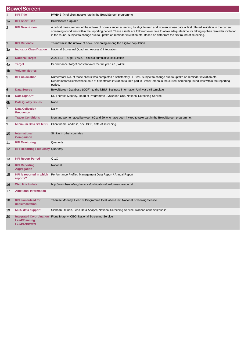|                | <b>BowelScreen</b>                          |                                                                                                                                                                                                                                                                                                                                                                                                                                    |
|----------------|---------------------------------------------|------------------------------------------------------------------------------------------------------------------------------------------------------------------------------------------------------------------------------------------------------------------------------------------------------------------------------------------------------------------------------------------------------------------------------------|
| $\mathbf{1}$   | <b>KPI Title</b>                            | HWB46-% of client uptake rate in the BowelScreen programme                                                                                                                                                                                                                                                                                                                                                                         |
| 1a             | <b>KPI Short Title</b>                      | <b>BowelScreen Uptake</b>                                                                                                                                                                                                                                                                                                                                                                                                          |
| 2              | <b>KPI Description</b>                      | A cohort measurement of the uptake of bowel cancer screening by eligible men and women whose date of first offered invitation in the current<br>screening round was within the reporting period. These clients are followed over time to allow adequate time for taking up their reminder invitation<br>in the round. Subject to change due to uptake on reminder invitation etc. Based on data from the first round of screening. |
| 3              | <b>KPI Rationale</b>                        | To maximise the uptake of bowel screening among the eligible population                                                                                                                                                                                                                                                                                                                                                            |
| 3a             | <b>Indicator Classification</b>             | National Scorecard Quadrant: Access & Integration                                                                                                                                                                                                                                                                                                                                                                                  |
| 4              | <b>National Target</b>                      | 2021 NSP Target: >45%. This is a cumulative calculation                                                                                                                                                                                                                                                                                                                                                                            |
| 4a             | <b>Target</b>                               | Performance Target constant over the full year, i.e., >45%                                                                                                                                                                                                                                                                                                                                                                         |
| 4b             | <b>Volume Metrics</b>                       |                                                                                                                                                                                                                                                                                                                                                                                                                                    |
| 5              | <b>KPI Calculation</b>                      | Numerator= No. of those clients who completed a satisfactory FIT test. Subject to change due to uptake on reminder invitation etc.<br>Denominator=clients whose date of first offered invitation to take part in BowelScreen in the current screening round was within the reporting<br>period.                                                                                                                                    |
| 6              | <b>Data Source</b>                          | BowelScreen Database (COR) to the NBIU Business Information Unit via a cif template                                                                                                                                                                                                                                                                                                                                                |
| 6а             | Data Sign Off                               | Dr. Therese Mooney, Head of Programme Evaluation Unit, National Screening Service                                                                                                                                                                                                                                                                                                                                                  |
| 6 <sub>b</sub> | <b>Data Quality Issues</b>                  | None                                                                                                                                                                                                                                                                                                                                                                                                                               |
| 7              | <b>Data Collection</b><br><b>Frequency</b>  | Daily                                                                                                                                                                                                                                                                                                                                                                                                                              |
| 8              | <b>Tracer Conditions</b>                    | Men and women aged between 60 and 69 who have been invited to take part in the BowelScreen programme.                                                                                                                                                                                                                                                                                                                              |
| 9              | <b>Minimum Data Set MDS</b>                 | Client name, address, sex, DOB, date of screening.                                                                                                                                                                                                                                                                                                                                                                                 |
| 10             | <b>International</b><br><b>Comparison</b>   | Similar in other countries                                                                                                                                                                                                                                                                                                                                                                                                         |
| 11             | <b>KPI Monitoring</b>                       | Quarterly                                                                                                                                                                                                                                                                                                                                                                                                                          |
| 12             | <b>KPI Reporting Frequency Quarterly</b>    |                                                                                                                                                                                                                                                                                                                                                                                                                                    |
| 13             | <b>KPI Report Period</b>                    | $Q-1Q$                                                                                                                                                                                                                                                                                                                                                                                                                             |
| 14             | <b>KPI Reporting</b><br><b>Aggregation</b>  | National                                                                                                                                                                                                                                                                                                                                                                                                                           |
| 15             | <b>KPI</b> is reported in which<br>reports? | Performance Profile / Management Data Report / Annual Report                                                                                                                                                                                                                                                                                                                                                                       |
| 16             | Web link to data                            | http://www.hse.ie/eng/services/publications/performancereports/                                                                                                                                                                                                                                                                                                                                                                    |
| 17             | <b>Additional Information</b>               |                                                                                                                                                                                                                                                                                                                                                                                                                                    |
| 18             | <b>KPI owner/lead for</b><br>implementation | Therese Mooney, Head of Programme Evaluation Unit, National Screening Service.                                                                                                                                                                                                                                                                                                                                                     |
| 19             | <b>NBIU data support</b>                    | Siobhán O'Brien, Lead Data Analyst, National Screening Service, siobhan.obrien2@hse.ie                                                                                                                                                                                                                                                                                                                                             |
| 20             | <b>Lead/Planning</b><br>Lead/AND/CEO        | Integrated Co-ordination Fiona Murphy, CEO, National Screening Service                                                                                                                                                                                                                                                                                                                                                             |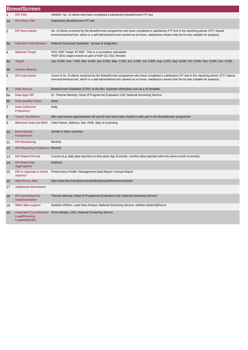|    | <b>BowelScreen</b>                                                      |                                                                                                                                                                                                                                                                                          |
|----|-------------------------------------------------------------------------|------------------------------------------------------------------------------------------------------------------------------------------------------------------------------------------------------------------------------------------------------------------------------------------|
| 1  | <b>KPI Title</b>                                                        | HWB82- No. of clients who have completed a satisfactory BowelScreen FIT test                                                                                                                                                                                                             |
| 1a | <b>KPI Short Title</b>                                                  | Satisfactory BowelScreen FIT test                                                                                                                                                                                                                                                        |
| 2  | <b>KPI Description</b>                                                  | No. of clients screened by the BowelScreen programme who have completed a satisfactory FIT test in the reporting period. (FIT= faecal<br>immunochemical test, which is a self-administered test carried out at home, satisfactory means that the kit was suitable for analysis)          |
| 3a | <b>Indicator Classification</b>                                         | National Scorecard Quadrant: Access & Integration                                                                                                                                                                                                                                        |
| 4  | <b>National Target</b>                                                  | 2021 NSP Target: 87,500*. This is a cumulative calculation<br>*NSP 2021 target revised as part of NSP Q1 2021 Review                                                                                                                                                                     |
| 4a | <b>Target</b>                                                           | Jan: 6,000, Feb: 7,500, Mar: 8,500, Apr: 8,500, May: 7,500, Jun: 6,000, Jul: 5,500, Aug: 5,000, Sep: 9,000, Oct: 9,000, Nov: 9,000, Dec: 6,000                                                                                                                                           |
| 4b | <b>Volume Metrics</b>                                                   |                                                                                                                                                                                                                                                                                          |
| 5  | <b>KPI Calculation</b>                                                  | Count of no. of clients screened by the BowelScreen programme who have completed a satisfactory FIT test in the reporting period. (FIT= faecal<br>immunochemical test, which is a self-administered test carried out at home, satisfactory means that the kit was suitable for analysis) |
| 6  | <b>Data Source</b>                                                      | BowelScreen Database (COR) to the BIU business infomation unit via a cif template                                                                                                                                                                                                        |
| 6a | Data Sign Off                                                           | Dr. Therese Mooney, Head of Programme Evaluation Unit, National Screening Service                                                                                                                                                                                                        |
| 6b | <b>Data Quality Issues</b>                                              | None                                                                                                                                                                                                                                                                                     |
| 7  | <b>Data Collection</b><br><b>Frequency</b>                              | Daily                                                                                                                                                                                                                                                                                    |
| 8  | <b>Tracer Conditions</b>                                                | Men and women aged between 60 and 69 who have been invited to take part in the BowelScreen programme                                                                                                                                                                                     |
| 9  | <b>Minimum Data Set MDS</b>                                             | Client Name, Address, Sex, DOB, date of screening                                                                                                                                                                                                                                        |
| 10 | International<br><b>Comparison</b>                                      | Similar in other countries                                                                                                                                                                                                                                                               |
| 11 | <b>KPI Monitoring</b>                                                   | Monthly                                                                                                                                                                                                                                                                                  |
| 12 | <b>KPI Reporting Frequency Monthly</b>                                  |                                                                                                                                                                                                                                                                                          |
| 13 | <b>KPI Report Period</b>                                                | Current (e.g. daily data reported on that same day of activity, monthly data reported wihin the same month of activity)                                                                                                                                                                  |
| 14 | <b>KPI Reporting</b><br><b>Aggregation</b>                              | <b>National</b>                                                                                                                                                                                                                                                                          |
| 15 | <b>KPI</b> is reported in which<br>reports?                             | Performance Profile / Management Data Report / Annual Report                                                                                                                                                                                                                             |
| 16 | Web link to data                                                        | http://www.hse.ie/eng/services/publications/performancereports/                                                                                                                                                                                                                          |
| 17 | <b>Additional Information</b>                                           |                                                                                                                                                                                                                                                                                          |
| 18 | <b>KPI</b> owner/lead for<br>implementation                             | Therese Mooney, Head of Programme Evaluation Unit, National Screening Service.                                                                                                                                                                                                           |
| 19 | <b>NBIU data support</b>                                                | Siobhán O'Brien, Lead Data Analyst, National Screening Service, siobhan.obrien2@hse.ie                                                                                                                                                                                                   |
| 20 | <b>Integrated Co-ordination</b><br><b>Lead/Planning</b><br>Lead/AND/CEO | Fiona Murphy, CEO, National Screening Service                                                                                                                                                                                                                                            |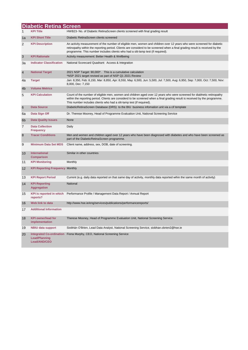|                | <b>Diabetic Retina Screen</b>               |                                                                                                                                                                                                                                                                                                                                           |
|----------------|---------------------------------------------|-------------------------------------------------------------------------------------------------------------------------------------------------------------------------------------------------------------------------------------------------------------------------------------------------------------------------------------------|
| 1              | <b>KPI Title</b>                            | HWB23- No. of Diabetic RetinaScreen clients screened with final grading result                                                                                                                                                                                                                                                            |
| 1a             | <b>KPI Short Title</b>                      | Diabetic RetinaScreen clients screened                                                                                                                                                                                                                                                                                                    |
| 2              | <b>KPI Description</b>                      | An activity measurement of the number of eligible men, women and children over 12 years who were screened for diabetic<br>retinopathy within the reporting period. Clients are considerd to be screened when a final grading result is received by the<br>programme. This number includes clients who had a slit-lamp test (if required). |
| 3              | <b>KPI Rationale</b>                        | Activity measurement: Better Health & Wellbeing                                                                                                                                                                                                                                                                                           |
| За             | <b>Indicator Classification</b>             | National Scorecard Quadrant: Access & Integration                                                                                                                                                                                                                                                                                         |
| 4              | <b>National Target</b>                      | 2021 NSP Target: 90,000*. This is a cumulative calculation<br>*NSP 2021 target revised as part of NSP Q1 2021 Review                                                                                                                                                                                                                      |
| 4a             | <b>Target</b>                               | Jan: 8,350, Feb: 8,150, Mar: 8,850, Apr: 8,550, May: 6,500, Jun: 5,500, Jul: 7,500, Aug: 6,950, Sep: 7,000, Oct: 7,500, Nov:<br>8,000, Dec: 7,150                                                                                                                                                                                         |
| 4b             | <b>Volume Metrics</b>                       |                                                                                                                                                                                                                                                                                                                                           |
| 5              | <b>KPI Calculation</b>                      | Count of the number of eligible men, women and children aged over 12 years who were screened for diabhetic retinopathy<br>within the reporting period. Clients are considerd to be screened when a final grading result is received by the programme.<br>This number includes clients who had a slit-lamp test (if required).             |
| 6              | <b>Data Source</b>                          | DiabeticRetinaScreen Database (DRS) to the BIU business infomation unit via a cif template                                                                                                                                                                                                                                                |
| 6а             | Data Sign Off                               | Dr. Therese Mooney, Head of Programme Evaluation Unit, National Screening Service                                                                                                                                                                                                                                                         |
| 6 <sub>b</sub> | <b>Data Quality Issues</b>                  | None                                                                                                                                                                                                                                                                                                                                      |
| 7              | <b>Data Collection</b><br><b>Frequency</b>  | Daily                                                                                                                                                                                                                                                                                                                                     |
| 8              | <b>Tracer Conditions</b>                    | Men and women and children aged over 12 years who have been diagnosed with diabetes and who have been screened as<br>part of the DiabeticRetinaScreen programme.                                                                                                                                                                          |
| 9              | <b>Minimum Data Set MDS</b>                 | Client name, address, sex, DOB, date of screening.                                                                                                                                                                                                                                                                                        |
| 10             | <b>International</b><br><b>Comparison</b>   | Similar in other countries                                                                                                                                                                                                                                                                                                                |
| 11             | <b>KPI Monitoring</b>                       | Monthly                                                                                                                                                                                                                                                                                                                                   |
| 12             | <b>KPI Reporting Frequency Monthly</b>      |                                                                                                                                                                                                                                                                                                                                           |
| 13             | <b>KPI Report Period</b>                    | Current (e.g. daily data reported on that same day of activity, monthly data reported wihin the same month of activity)                                                                                                                                                                                                                   |
| 14             | <b>KPI Reporting</b><br><b>Aggregation</b>  | National                                                                                                                                                                                                                                                                                                                                  |
| 15             | reports?                                    | KPI is reported in which Performance Profile / Management Data Report / Annual Report                                                                                                                                                                                                                                                     |
| 16             | Web link to data                            | http://www.hse.ie/eng/services/publications/performancereports/                                                                                                                                                                                                                                                                           |
|                | 17 Additional Information                   |                                                                                                                                                                                                                                                                                                                                           |
| 18             | <b>KPI owner/lead for</b><br>implementation | Therese Mooney, Head of Programme Evaluation Unit, National Screening Service.                                                                                                                                                                                                                                                            |
| 19             | <b>NBIU data support</b>                    | Siobhán O'Brien, Lead Data Analyst, National Screening Service, siobhan.obrien2@hse.ie                                                                                                                                                                                                                                                    |
| 20             | Lead/Planning<br>Lead/AND/CEO               | Integrated Co-ordination Fiona Murphy, CEO, National Screening Service                                                                                                                                                                                                                                                                    |